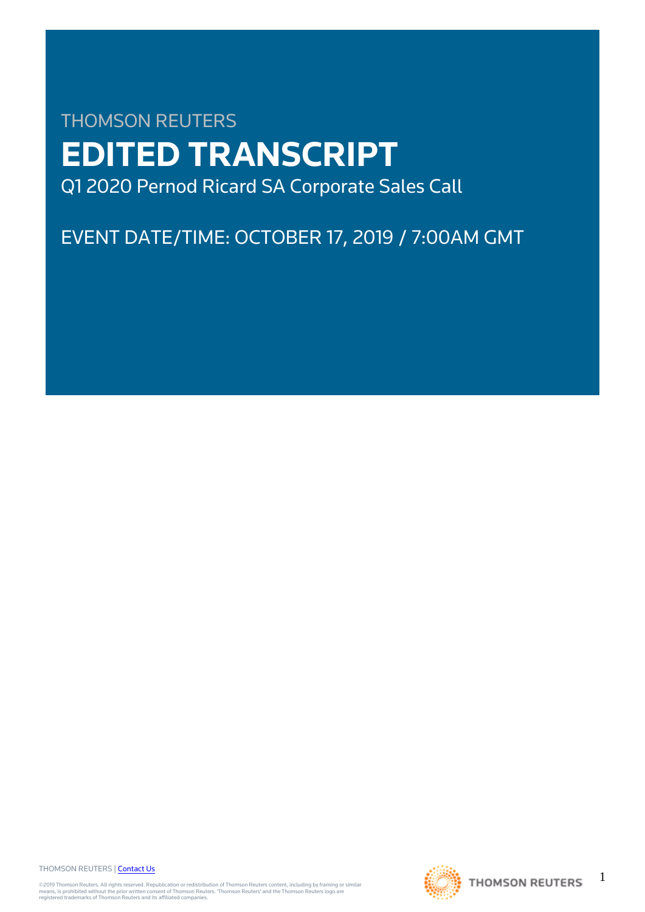# THOMSON REUTERS **EDITED TRANSCRIPT** Q1 2020 Pernod Ricard SA Corporate Sales Call

EVENT DATE/TIME: OCTOBER 17, 2019 / 7:00AM GMT

THOMSON REUTERS | [Contact Us](https://my.thomsonreuters.com/ContactUsNew)

©2019 Thomson Reuters. All rights reserved. Republication or redistribution of Thomson Reuters content, including by framing or similar<br>means, is prohibited without the prior written consent of Thomson Reuters. "Thomson Re



1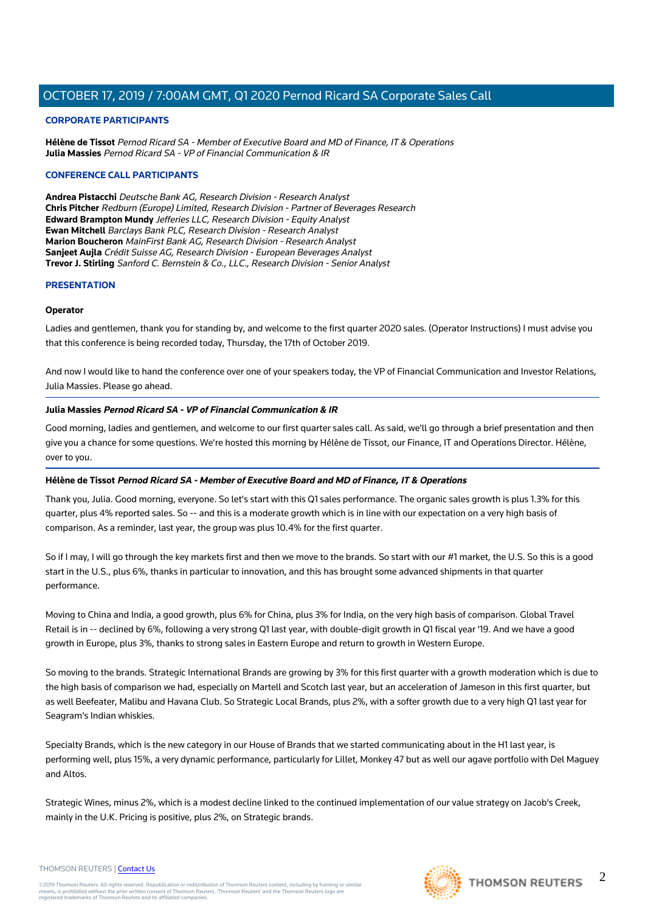#### **CORPORATE PARTICIPANTS**

**Hélène de Tissot** Pernod Ricard SA - Member of Executive Board and MD of Finance, IT & Operations **Julia Massies** Pernod Ricard SA - VP of Financial Communication & IR

#### **CONFERENCE CALL PARTICIPANTS**

**Andrea Pistacchi** Deutsche Bank AG, Research Division - Research Analyst **Chris Pitcher** Redburn (Europe) Limited, Research Division - Partner of Beverages Research **Edward Brampton Mundy** Jefferies LLC, Research Division - Equity Analyst **Ewan Mitchell** Barclays Bank PLC, Research Division - Research Analyst **Marion Boucheron** MainFirst Bank AG, Research Division - Research Analyst **Sanjeet Aujla** Crédit Suisse AG, Research Division - European Beverages Analyst **Trevor J. Stirling** Sanford C. Bernstein & Co., LLC., Research Division - Senior Analyst

#### **PRESENTATION**

#### **Operator**

Ladies and gentlemen, thank you for standing by, and welcome to the first quarter 2020 sales. (Operator Instructions) I must advise you that this conference is being recorded today, Thursday, the 17th of October 2019.

And now I would like to hand the conference over one of your speakers today, the VP of Financial Communication and Investor Relations, Julia Massies. Please go ahead.

#### **Julia Massies Pernod Ricard SA - VP of Financial Communication & IR**

Good morning, ladies and gentlemen, and welcome to our first quarter sales call. As said, we'll go through a brief presentation and then give you a chance for some questions. We're hosted this morning by Hélène de Tissot, our Finance, IT and Operations Director. Hélène, over to you.

#### **Hélène de Tissot Pernod Ricard SA - Member of Executive Board and MD of Finance, IT & Operations**

Thank you, Julia. Good morning, everyone. So let's start with this Q1 sales performance. The organic sales growth is plus 1.3% for this quarter, plus 4% reported sales. So -- and this is a moderate growth which is in line with our expectation on a very high basis of comparison. As a reminder, last year, the group was plus 10.4% for the first quarter.

So if I may, I will go through the key markets first and then we move to the brands. So start with our #1 market, the U.S. So this is a good start in the U.S., plus 6%, thanks in particular to innovation, and this has brought some advanced shipments in that quarter performance.

Moving to China and India, a good growth, plus 6% for China, plus 3% for India, on the very high basis of comparison. Global Travel Retail is in -- declined by 6%, following a very strong Q1 last year, with double-digit growth in Q1 fiscal year '19. And we have a good growth in Europe, plus 3%, thanks to strong sales in Eastern Europe and return to growth in Western Europe.

So moving to the brands. Strategic International Brands are growing by 3% for this first quarter with a growth moderation which is due to the high basis of comparison we had, especially on Martell and Scotch last year, but an acceleration of Jameson in this first quarter, but as well Beefeater, Malibu and Havana Club. So Strategic Local Brands, plus 2%, with a softer growth due to a very high Q1 last year for Seagram's Indian whiskies.

Specialty Brands, which is the new category in our House of Brands that we started communicating about in the H1 last year, is performing well, plus 15%, a very dynamic performance, particularly for Lillet, Monkey 47 but as well our agave portfolio with Del Maguey and Altos.

Strategic Wines, minus 2%, which is a modest decline linked to the continued implementation of our value strategy on Jacob's Creek, mainly in the U.K. Pricing is positive, plus 2%, on Strategic brands.

#### THOMSON REUTERS | [Contact Us](https://my.thomsonreuters.com/ContactUsNew)

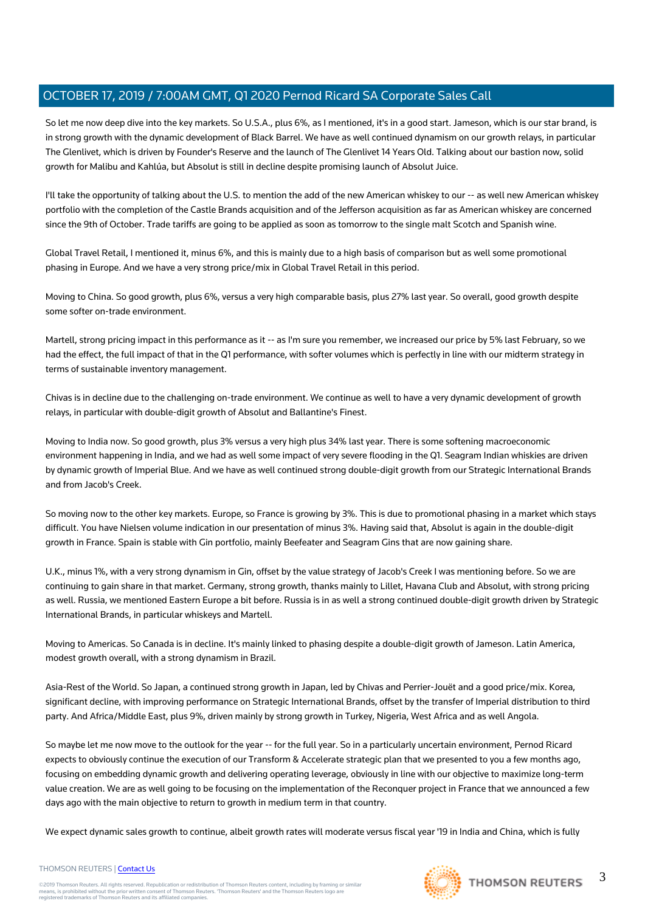So let me now deep dive into the key markets. So U.S.A., plus 6%, as I mentioned, it's in a good start. Jameson, which is our star brand, is in strong growth with the dynamic development of Black Barrel. We have as well continued dynamism on our growth relays, in particular The Glenlivet, which is driven by Founder's Reserve and the launch of The Glenlivet 14 Years Old. Talking about our bastion now, solid growth for Malibu and Kahlúa, but Absolut is still in decline despite promising launch of Absolut Juice.

I'll take the opportunity of talking about the U.S. to mention the add of the new American whiskey to our -- as well new American whiskey portfolio with the completion of the Castle Brands acquisition and of the Jefferson acquisition as far as American whiskey are concerned since the 9th of October. Trade tariffs are going to be applied as soon as tomorrow to the single malt Scotch and Spanish wine.

Global Travel Retail, I mentioned it, minus 6%, and this is mainly due to a high basis of comparison but as well some promotional phasing in Europe. And we have a very strong price/mix in Global Travel Retail in this period.

Moving to China. So good growth, plus 6%, versus a very high comparable basis, plus 27% last year. So overall, good growth despite some softer on-trade environment.

Martell, strong pricing impact in this performance as it -- as I'm sure you remember, we increased our price by 5% last February, so we had the effect, the full impact of that in the Q1 performance, with softer volumes which is perfectly in line with our midterm strategy in terms of sustainable inventory management.

Chivas is in decline due to the challenging on-trade environment. We continue as well to have a very dynamic development of growth relays, in particular with double-digit growth of Absolut and Ballantine's Finest.

Moving to India now. So good growth, plus 3% versus a very high plus 34% last year. There is some softening macroeconomic environment happening in India, and we had as well some impact of very severe flooding in the Q1. Seagram Indian whiskies are driven by dynamic growth of Imperial Blue. And we have as well continued strong double-digit growth from our Strategic International Brands and from Jacob's Creek.

So moving now to the other key markets. Europe, so France is growing by 3%. This is due to promotional phasing in a market which stays difficult. You have Nielsen volume indication in our presentation of minus 3%. Having said that, Absolut is again in the double-digit growth in France. Spain is stable with Gin portfolio, mainly Beefeater and Seagram Gins that are now gaining share.

U.K., minus 1%, with a very strong dynamism in Gin, offset by the value strategy of Jacob's Creek I was mentioning before. So we are continuing to gain share in that market. Germany, strong growth, thanks mainly to Lillet, Havana Club and Absolut, with strong pricing as well. Russia, we mentioned Eastern Europe a bit before. Russia is in as well a strong continued double-digit growth driven by Strategic International Brands, in particular whiskeys and Martell.

Moving to Americas. So Canada is in decline. It's mainly linked to phasing despite a double-digit growth of Jameson. Latin America, modest growth overall, with a strong dynamism in Brazil.

Asia-Rest of the World. So Japan, a continued strong growth in Japan, led by Chivas and Perrier-Jouët and a good price/mix. Korea, significant decline, with improving performance on Strategic International Brands, offset by the transfer of Imperial distribution to third party. And Africa/Middle East, plus 9%, driven mainly by strong growth in Turkey, Nigeria, West Africa and as well Angola.

So maybe let me now move to the outlook for the year -- for the full year. So in a particularly uncertain environment, Pernod Ricard expects to obviously continue the execution of our Transform & Accelerate strategic plan that we presented to you a few months ago, focusing on embedding dynamic growth and delivering operating leverage, obviously in line with our objective to maximize long-term value creation. We are as well going to be focusing on the implementation of the Reconquer project in France that we announced a few days ago with the main objective to return to growth in medium term in that country.

We expect dynamic sales growth to continue, albeit growth rates will moderate versus fiscal year '19 in India and China, which is fully



#### THOMSON REUTERS | [Contact Us](https://my.thomsonreuters.com/ContactUsNew)

©2019 Thomson Reuters. All rights reserved. Republication or redistribution of Thomson Reuters content, including by framing or similar<br>means, is prohibited without the prior written consent of Thomson Reuters. "Thomson Re

3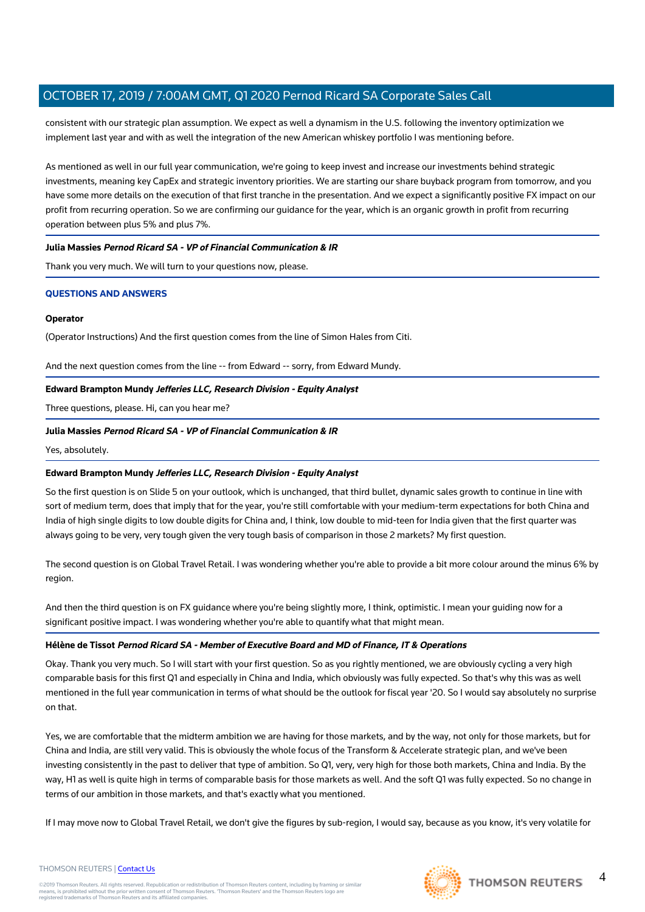consistent with our strategic plan assumption. We expect as well a dynamism in the U.S. following the inventory optimization we implement last year and with as well the integration of the new American whiskey portfolio I was mentioning before.

As mentioned as well in our full year communication, we're going to keep invest and increase our investments behind strategic investments, meaning key CapEx and strategic inventory priorities. We are starting our share buyback program from tomorrow, and you have some more details on the execution of that first tranche in the presentation. And we expect a significantly positive FX impact on our profit from recurring operation. So we are confirming our guidance for the year, which is an organic growth in profit from recurring operation between plus 5% and plus 7%.

#### **Julia Massies Pernod Ricard SA - VP of Financial Communication & IR**

Thank you very much. We will turn to your questions now, please.

#### **QUESTIONS AND ANSWERS**

#### **Operator**

(Operator Instructions) And the first question comes from the line of Simon Hales from Citi.

And the next question comes from the line -- from Edward -- sorry, from Edward Mundy.

#### **Edward Brampton Mundy Jefferies LLC, Research Division - Equity Analyst**

Three questions, please. Hi, can you hear me?

#### **Julia Massies Pernod Ricard SA - VP of Financial Communication & IR**

Yes, absolutely.

#### **Edward Brampton Mundy Jefferies LLC, Research Division - Equity Analyst**

So the first question is on Slide 5 on your outlook, which is unchanged, that third bullet, dynamic sales growth to continue in line with sort of medium term, does that imply that for the year, you're still comfortable with your medium-term expectations for both China and India of high single digits to low double digits for China and, I think, low double to mid-teen for India given that the first quarter was always going to be very, very tough given the very tough basis of comparison in those 2 markets? My first question.

The second question is on Global Travel Retail. I was wondering whether you're able to provide a bit more colour around the minus 6% by region.

And then the third question is on FX guidance where you're being slightly more, I think, optimistic. I mean your guiding now for a significant positive impact. I was wondering whether you're able to quantify what that might mean.

#### **Hélène de Tissot Pernod Ricard SA - Member of Executive Board and MD of Finance, IT & Operations**

Okay. Thank you very much. So I will start with your first question. So as you rightly mentioned, we are obviously cycling a very high comparable basis for this first Q1 and especially in China and India, which obviously was fully expected. So that's why this was as well mentioned in the full year communication in terms of what should be the outlook for fiscal year '20. So I would say absolutely no surprise on that.

Yes, we are comfortable that the midterm ambition we are having for those markets, and by the way, not only for those markets, but for China and India, are still very valid. This is obviously the whole focus of the Transform & Accelerate strategic plan, and we've been investing consistently in the past to deliver that type of ambition. So Q1, very, very high for those both markets, China and India. By the way, H1 as well is quite high in terms of comparable basis for those markets as well. And the soft Q1 was fully expected. So no change in terms of our ambition in those markets, and that's exactly what you mentioned.

If I may move now to Global Travel Retail, we don't give the figures by sub-region, I would say, because as you know, it's very volatile for





4

#### THOMSON REUTERS | [Contact Us](https://my.thomsonreuters.com/ContactUsNew)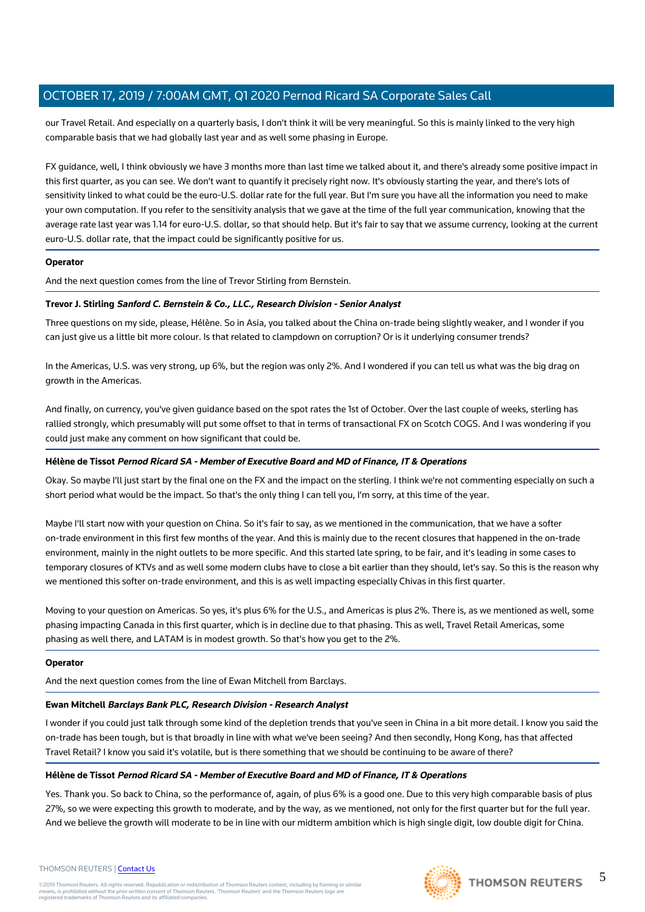our Travel Retail. And especially on a quarterly basis, I don't think it will be very meaningful. So this is mainly linked to the very high comparable basis that we had globally last year and as well some phasing in Europe.

FX guidance, well, I think obviously we have 3 months more than last time we talked about it, and there's already some positive impact in this first quarter, as you can see. We don't want to quantify it precisely right now. It's obviously starting the year, and there's lots of sensitivity linked to what could be the euro-U.S. dollar rate for the full year. But I'm sure you have all the information you need to make your own computation. If you refer to the sensitivity analysis that we gave at the time of the full year communication, knowing that the average rate last year was 1.14 for euro-U.S. dollar, so that should help. But it's fair to say that we assume currency, looking at the current euro-U.S. dollar rate, that the impact could be significantly positive for us.

#### **Operator**

And the next question comes from the line of Trevor Stirling from Bernstein.

#### **Trevor J. Stirling Sanford C. Bernstein & Co., LLC., Research Division - Senior Analyst**

Three questions on my side, please, Hélène. So in Asia, you talked about the China on-trade being slightly weaker, and I wonder if you can just give us a little bit more colour. Is that related to clampdown on corruption? Or is it underlying consumer trends?

In the Americas, U.S. was very strong, up 6%, but the region was only 2%. And I wondered if you can tell us what was the big drag on growth in the Americas.

And finally, on currency, you've given guidance based on the spot rates the 1st of October. Over the last couple of weeks, sterling has rallied strongly, which presumably will put some offset to that in terms of transactional FX on Scotch COGS. And I was wondering if you could just make any comment on how significant that could be.

#### **Hélène de Tissot Pernod Ricard SA - Member of Executive Board and MD of Finance, IT & Operations**

Okay. So maybe I'll just start by the final one on the FX and the impact on the sterling. I think we're not commenting especially on such a short period what would be the impact. So that's the only thing I can tell you, I'm sorry, at this time of the year.

Maybe I'll start now with your question on China. So it's fair to say, as we mentioned in the communication, that we have a softer on-trade environment in this first few months of the year. And this is mainly due to the recent closures that happened in the on-trade environment, mainly in the night outlets to be more specific. And this started late spring, to be fair, and it's leading in some cases to temporary closures of KTVs and as well some modern clubs have to close a bit earlier than they should, let's say. So this is the reason why we mentioned this softer on-trade environment, and this is as well impacting especially Chivas in this first quarter.

Moving to your question on Americas. So yes, it's plus 6% for the U.S., and Americas is plus 2%. There is, as we mentioned as well, some phasing impacting Canada in this first quarter, which is in decline due to that phasing. This as well, Travel Retail Americas, some phasing as well there, and LATAM is in modest growth. So that's how you get to the 2%.

#### **Operator**

And the next question comes from the line of Ewan Mitchell from Barclays.

#### **Ewan Mitchell Barclays Bank PLC, Research Division - Research Analyst**

I wonder if you could just talk through some kind of the depletion trends that you've seen in China in a bit more detail. I know you said the on-trade has been tough, but is that broadly in line with what we've been seeing? And then secondly, Hong Kong, has that affected Travel Retail? I know you said it's volatile, but is there something that we should be continuing to be aware of there?

#### **Hélène de Tissot Pernod Ricard SA - Member of Executive Board and MD of Finance, IT & Operations**

Yes. Thank you. So back to China, so the performance of, again, of plus 6% is a good one. Due to this very high comparable basis of plus 27%, so we were expecting this growth to moderate, and by the way, as we mentioned, not only for the first quarter but for the full year. And we believe the growth will moderate to be in line with our midterm ambition which is high single digit, low double digit for China.



THOMSON REUTERS | [Contact Us](https://my.thomsonreuters.com/ContactUsNew)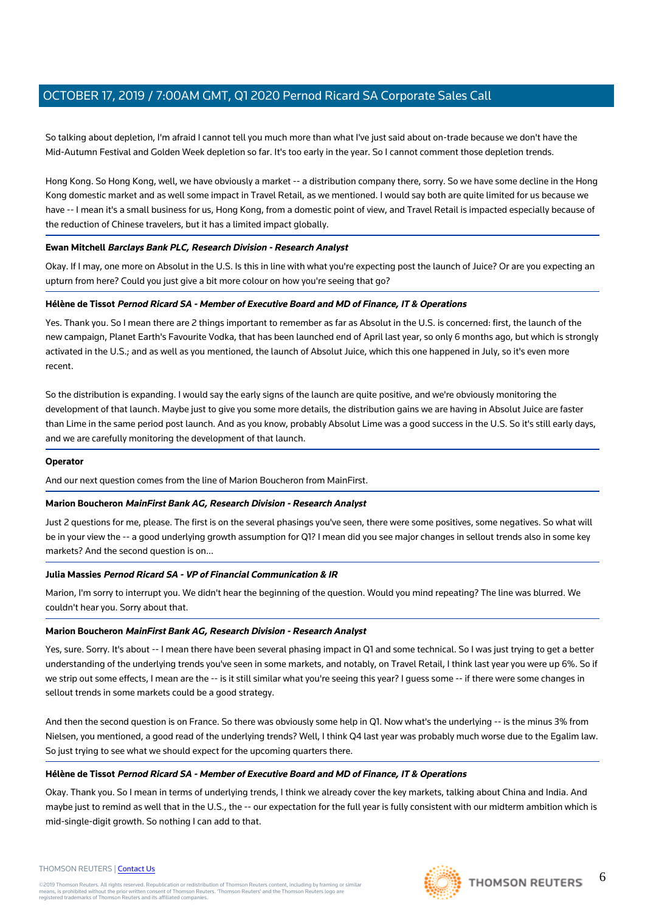So talking about depletion, I'm afraid I cannot tell you much more than what I've just said about on-trade because we don't have the Mid-Autumn Festival and Golden Week depletion so far. It's too early in the year. So I cannot comment those depletion trends.

Hong Kong. So Hong Kong, well, we have obviously a market -- a distribution company there, sorry. So we have some decline in the Hong Kong domestic market and as well some impact in Travel Retail, as we mentioned. I would say both are quite limited for us because we have -- I mean it's a small business for us, Hong Kong, from a domestic point of view, and Travel Retail is impacted especially because of the reduction of Chinese travelers, but it has a limited impact globally.

#### **Ewan Mitchell Barclays Bank PLC, Research Division - Research Analyst**

Okay. If I may, one more on Absolut in the U.S. Is this in line with what you're expecting post the launch of Juice? Or are you expecting an upturn from here? Could you just give a bit more colour on how you're seeing that go?

#### **Hélène de Tissot Pernod Ricard SA - Member of Executive Board and MD of Finance, IT & Operations**

Yes. Thank you. So I mean there are 2 things important to remember as far as Absolut in the U.S. is concerned: first, the launch of the new campaign, Planet Earth's Favourite Vodka, that has been launched end of April last year, so only 6 months ago, but which is strongly activated in the U.S.; and as well as you mentioned, the launch of Absolut Juice, which this one happened in July, so it's even more recent.

So the distribution is expanding. I would say the early signs of the launch are quite positive, and we're obviously monitoring the development of that launch. Maybe just to give you some more details, the distribution gains we are having in Absolut Juice are faster than Lime in the same period post launch. And as you know, probably Absolut Lime was a good success in the U.S. So it's still early days, and we are carefully monitoring the development of that launch.

#### **Operator**

And our next question comes from the line of Marion Boucheron from MainFirst.

#### **Marion Boucheron MainFirst Bank AG, Research Division - Research Analyst**

Just 2 questions for me, please. The first is on the several phasings you've seen, there were some positives, some negatives. So what will be in your view the -- a good underlying growth assumption for Q1? I mean did you see major changes in sellout trends also in some key markets? And the second question is on...

#### **Julia Massies Pernod Ricard SA - VP of Financial Communication & IR**

Marion, I'm sorry to interrupt you. We didn't hear the beginning of the question. Would you mind repeating? The line was blurred. We couldn't hear you. Sorry about that.

#### **Marion Boucheron MainFirst Bank AG, Research Division - Research Analyst**

Yes, sure. Sorry. It's about -- I mean there have been several phasing impact in Q1 and some technical. So I was just trying to get a better understanding of the underlying trends you've seen in some markets, and notably, on Travel Retail, I think last year you were up 6%. So if we strip out some effects, I mean are the -- is it still similar what you're seeing this year? I guess some -- if there were some changes in sellout trends in some markets could be a good strategy.

And then the second question is on France. So there was obviously some help in Q1. Now what's the underlying -- is the minus 3% from Nielsen, you mentioned, a good read of the underlying trends? Well, I think Q4 last year was probably much worse due to the Egalim law. So just trying to see what we should expect for the upcoming quarters there.

#### **Hélène de Tissot Pernod Ricard SA - Member of Executive Board and MD of Finance, IT & Operations**

Okay. Thank you. So I mean in terms of underlying trends, I think we already cover the key markets, talking about China and India. And maybe just to remind as well that in the U.S., the -- our expectation for the full year is fully consistent with our midterm ambition which is mid-single-digit growth. So nothing I can add to that.



## **THOMSON REUTERS**

6

#### THOMSON REUTERS | [Contact Us](https://my.thomsonreuters.com/ContactUsNew)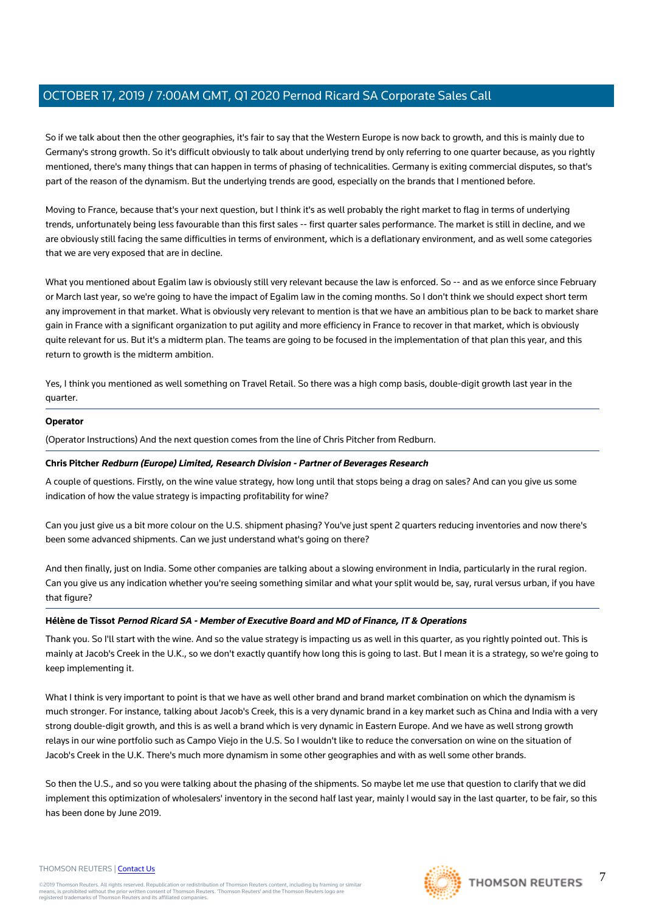So if we talk about then the other geographies, it's fair to say that the Western Europe is now back to growth, and this is mainly due to Germany's strong growth. So it's difficult obviously to talk about underlying trend by only referring to one quarter because, as you rightly mentioned, there's many things that can happen in terms of phasing of technicalities. Germany is exiting commercial disputes, so that's part of the reason of the dynamism. But the underlying trends are good, especially on the brands that I mentioned before.

Moving to France, because that's your next question, but I think it's as well probably the right market to flag in terms of underlying trends, unfortunately being less favourable than this first sales -- first quarter sales performance. The market is still in decline, and we are obviously still facing the same difficulties in terms of environment, which is a deflationary environment, and as well some categories that we are very exposed that are in decline.

What you mentioned about Egalim law is obviously still very relevant because the law is enforced. So -- and as we enforce since February or March last year, so we're going to have the impact of Egalim law in the coming months. So I don't think we should expect short term any improvement in that market. What is obviously very relevant to mention is that we have an ambitious plan to be back to market share gain in France with a significant organization to put agility and more efficiency in France to recover in that market, which is obviously quite relevant for us. But it's a midterm plan. The teams are going to be focused in the implementation of that plan this year, and this return to growth is the midterm ambition.

Yes, I think you mentioned as well something on Travel Retail. So there was a high comp basis, double-digit growth last year in the quarter.

#### **Operator**

(Operator Instructions) And the next question comes from the line of Chris Pitcher from Redburn.

#### **Chris Pitcher Redburn (Europe) Limited, Research Division - Partner of Beverages Research**

A couple of questions. Firstly, on the wine value strategy, how long until that stops being a drag on sales? And can you give us some indication of how the value strategy is impacting profitability for wine?

Can you just give us a bit more colour on the U.S. shipment phasing? You've just spent 2 quarters reducing inventories and now there's been some advanced shipments. Can we just understand what's going on there?

And then finally, just on India. Some other companies are talking about a slowing environment in India, particularly in the rural region. Can you give us any indication whether you're seeing something similar and what your split would be, say, rural versus urban, if you have that figure?

#### **Hélène de Tissot Pernod Ricard SA - Member of Executive Board and MD of Finance, IT & Operations**

Thank you. So I'll start with the wine. And so the value strategy is impacting us as well in this quarter, as you rightly pointed out. This is mainly at Jacob's Creek in the U.K., so we don't exactly quantify how long this is going to last. But I mean it is a strategy, so we're going to keep implementing it.

What I think is very important to point is that we have as well other brand and brand market combination on which the dynamism is much stronger. For instance, talking about Jacob's Creek, this is a very dynamic brand in a key market such as China and India with a very strong double-digit growth, and this is as well a brand which is very dynamic in Eastern Europe. And we have as well strong growth relays in our wine portfolio such as Campo Viejo in the U.S. So I wouldn't like to reduce the conversation on wine on the situation of Jacob's Creek in the U.K. There's much more dynamism in some other geographies and with as well some other brands.

So then the U.S., and so you were talking about the phasing of the shipments. So maybe let me use that question to clarify that we did implement this optimization of wholesalers' inventory in the second half last year, mainly I would say in the last quarter, to be fair, so this has been done by June 2019.

#### THOMSON REUTERS | [Contact Us](https://my.thomsonreuters.com/ContactUsNew)



7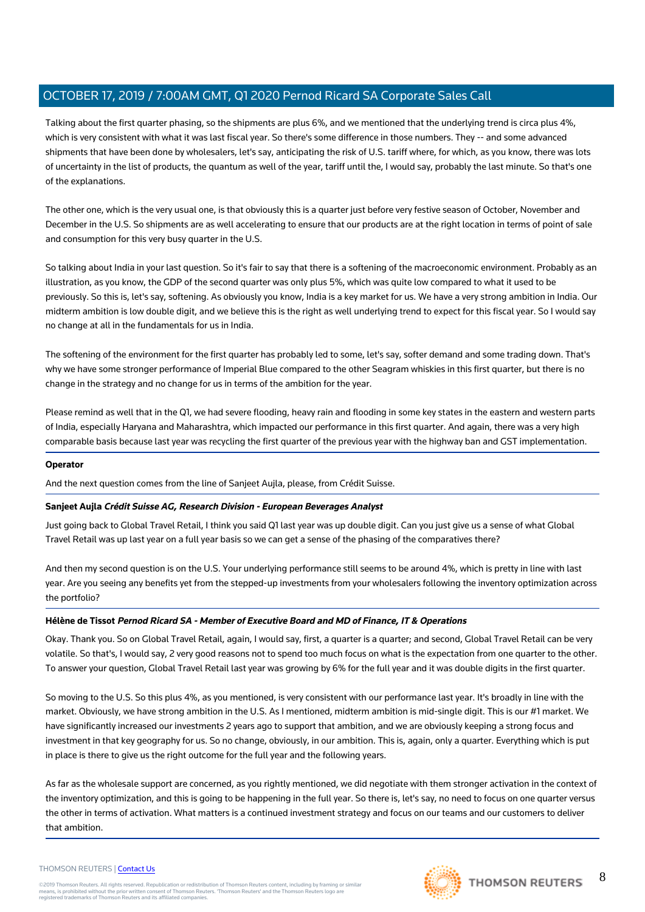Talking about the first quarter phasing, so the shipments are plus 6%, and we mentioned that the underlying trend is circa plus 4%, which is very consistent with what it was last fiscal year. So there's some difference in those numbers. They -- and some advanced shipments that have been done by wholesalers, let's say, anticipating the risk of U.S. tariff where, for which, as you know, there was lots of uncertainty in the list of products, the quantum as well of the year, tariff until the, I would say, probably the last minute. So that's one of the explanations.

The other one, which is the very usual one, is that obviously this is a quarter just before very festive season of October, November and December in the U.S. So shipments are as well accelerating to ensure that our products are at the right location in terms of point of sale and consumption for this very busy quarter in the U.S.

So talking about India in your last question. So it's fair to say that there is a softening of the macroeconomic environment. Probably as an illustration, as you know, the GDP of the second quarter was only plus 5%, which was quite low compared to what it used to be previously. So this is, let's say, softening. As obviously you know, India is a key market for us. We have a very strong ambition in India. Our midterm ambition is low double digit, and we believe this is the right as well underlying trend to expect for this fiscal year. So I would say no change at all in the fundamentals for us in India.

The softening of the environment for the first quarter has probably led to some, let's say, softer demand and some trading down. That's why we have some stronger performance of Imperial Blue compared to the other Seagram whiskies in this first quarter, but there is no change in the strategy and no change for us in terms of the ambition for the year.

Please remind as well that in the Q1, we had severe flooding, heavy rain and flooding in some key states in the eastern and western parts of India, especially Haryana and Maharashtra, which impacted our performance in this first quarter. And again, there was a very high comparable basis because last year was recycling the first quarter of the previous year with the highway ban and GST implementation.

#### **Operator**

And the next question comes from the line of Sanjeet Aujla, please, from Crédit Suisse.

#### **Sanjeet Aujla Crédit Suisse AG, Research Division - European Beverages Analyst**

Just going back to Global Travel Retail, I think you said Q1 last year was up double digit. Can you just give us a sense of what Global Travel Retail was up last year on a full year basis so we can get a sense of the phasing of the comparatives there?

And then my second question is on the U.S. Your underlying performance still seems to be around 4%, which is pretty in line with last year. Are you seeing any benefits yet from the stepped-up investments from your wholesalers following the inventory optimization across the portfolio?

### **Hélène de Tissot Pernod Ricard SA - Member of Executive Board and MD of Finance, IT & Operations**

Okay. Thank you. So on Global Travel Retail, again, I would say, first, a quarter is a quarter; and second, Global Travel Retail can be very volatile. So that's, I would say, 2 very good reasons not to spend too much focus on what is the expectation from one quarter to the other. To answer your question, Global Travel Retail last year was growing by 6% for the full year and it was double digits in the first quarter.

So moving to the U.S. So this plus 4%, as you mentioned, is very consistent with our performance last year. It's broadly in line with the market. Obviously, we have strong ambition in the U.S. As I mentioned, midterm ambition is mid-single digit. This is our #1 market. We have significantly increased our investments 2 years ago to support that ambition, and we are obviously keeping a strong focus and investment in that key geography for us. So no change, obviously, in our ambition. This is, again, only a quarter. Everything which is put in place is there to give us the right outcome for the full year and the following years.

As far as the wholesale support are concerned, as you rightly mentioned, we did negotiate with them stronger activation in the context of the inventory optimization, and this is going to be happening in the full year. So there is, let's say, no need to focus on one quarter versus the other in terms of activation. What matters is a continued investment strategy and focus on our teams and our customers to deliver that ambition.

#### THOMSON REUTERS | [Contact Us](https://my.thomsonreuters.com/ContactUsNew)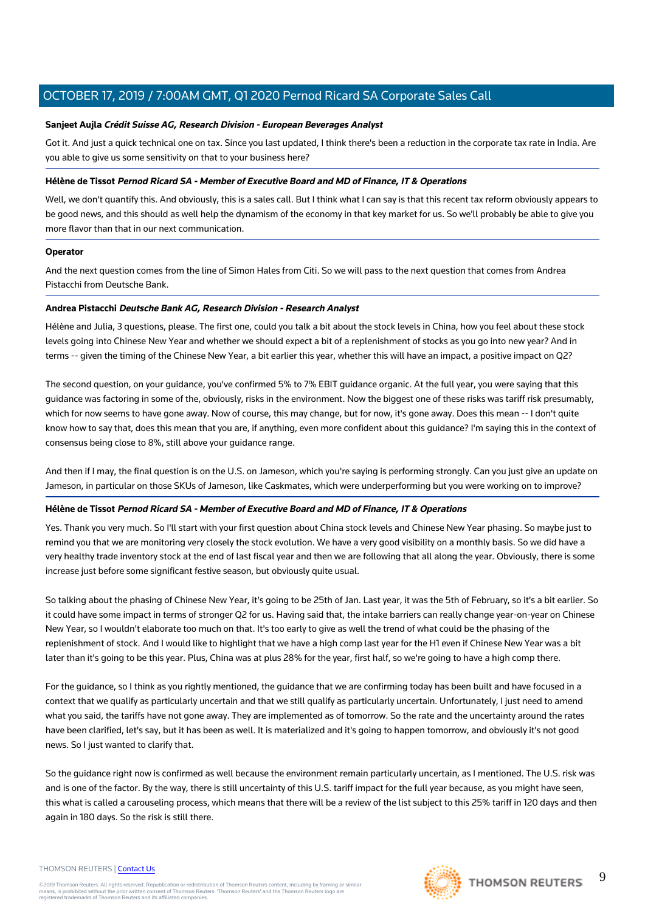#### **Sanjeet Aujla Crédit Suisse AG, Research Division - European Beverages Analyst**

Got it. And just a quick technical one on tax. Since you last updated, I think there's been a reduction in the corporate tax rate in India. Are you able to give us some sensitivity on that to your business here?

#### **Hélène de Tissot Pernod Ricard SA - Member of Executive Board and MD of Finance, IT & Operations**

Well, we don't quantify this. And obviously, this is a sales call. But I think what I can say is that this recent tax reform obviously appears to be good news, and this should as well help the dynamism of the economy in that key market for us. So we'll probably be able to give you more flavor than that in our next communication.

#### **Operator**

And the next question comes from the line of Simon Hales from Citi. So we will pass to the next question that comes from Andrea Pistacchi from Deutsche Bank.

#### **Andrea Pistacchi Deutsche Bank AG, Research Division - Research Analyst**

Hélène and Julia, 3 questions, please. The first one, could you talk a bit about the stock levels in China, how you feel about these stock levels going into Chinese New Year and whether we should expect a bit of a replenishment of stocks as you go into new year? And in terms -- given the timing of the Chinese New Year, a bit earlier this year, whether this will have an impact, a positive impact on Q2?

The second question, on your guidance, you've confirmed 5% to 7% EBIT guidance organic. At the full year, you were saying that this guidance was factoring in some of the, obviously, risks in the environment. Now the biggest one of these risks was tariff risk presumably, which for now seems to have gone away. Now of course, this may change, but for now, it's gone away. Does this mean -- I don't quite know how to say that, does this mean that you are, if anything, even more confident about this guidance? I'm saying this in the context of consensus being close to 8%, still above your guidance range.

And then if I may, the final question is on the U.S. on Jameson, which you're saying is performing strongly. Can you just give an update on Jameson, in particular on those SKUs of Jameson, like Caskmates, which were underperforming but you were working on to improve?

#### **Hélène de Tissot Pernod Ricard SA - Member of Executive Board and MD of Finance, IT & Operations**

Yes. Thank you very much. So I'll start with your first question about China stock levels and Chinese New Year phasing. So maybe just to remind you that we are monitoring very closely the stock evolution. We have a very good visibility on a monthly basis. So we did have a very healthy trade inventory stock at the end of last fiscal year and then we are following that all along the year. Obviously, there is some increase just before some significant festive season, but obviously quite usual.

So talking about the phasing of Chinese New Year, it's going to be 25th of Jan. Last year, it was the 5th of February, so it's a bit earlier. So it could have some impact in terms of stronger Q2 for us. Having said that, the intake barriers can really change year-on-year on Chinese New Year, so I wouldn't elaborate too much on that. It's too early to give as well the trend of what could be the phasing of the replenishment of stock. And I would like to highlight that we have a high comp last year for the H1 even if Chinese New Year was a bit later than it's going to be this year. Plus, China was at plus 28% for the year, first half, so we're going to have a high comp there.

For the guidance, so I think as you rightly mentioned, the guidance that we are confirming today has been built and have focused in a context that we qualify as particularly uncertain and that we still qualify as particularly uncertain. Unfortunately, I just need to amend what you said, the tariffs have not gone away. They are implemented as of tomorrow. So the rate and the uncertainty around the rates have been clarified, let's say, but it has been as well. It is materialized and it's going to happen tomorrow, and obviously it's not good news. So I just wanted to clarify that.

So the guidance right now is confirmed as well because the environment remain particularly uncertain, as I mentioned. The U.S. risk was and is one of the factor. By the way, there is still uncertainty of this U.S. tariff impact for the full year because, as you might have seen, this what is called a carouseling process, which means that there will be a review of the list subject to this 25% tariff in 120 days and then again in 180 days. So the risk is still there.

#### THOMSON REUTERS | [Contact Us](https://my.thomsonreuters.com/ContactUsNew)